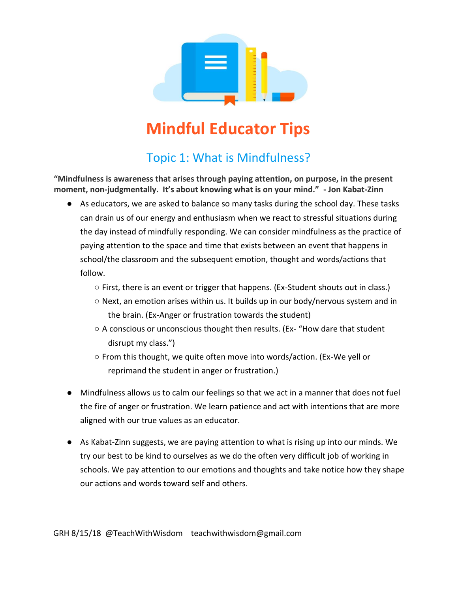

## **Mindful Educator Tips**

## Topic 1: What is Mindfulness?

**"Mindfulness is awareness that arises through paying attention, on purpose, in the present moment, non-judgmentally. It's about knowing what is on your mind." - Jon Kabat-Zinn**

- As educators, we are asked to balance so many tasks during the school day. These tasks can drain us of our energy and enthusiasm when we react to stressful situations during the day instead of mindfully responding. We can consider mindfulness as the practice of paying attention to the space and time that exists between an event that happens in school/the classroom and the subsequent emotion, thought and words/actions that follow.
	- First, there is an event or trigger that happens. (Ex-Student shouts out in class.)
	- Next, an emotion arises within us. It builds up in our body/nervous system and in the brain. (Ex-Anger or frustration towards the student)
	- A conscious or unconscious thought then results. (Ex- "How dare that student disrupt my class.")
	- From this thought, we quite often move into words/action. (Ex-We yell or reprimand the student in anger or frustration.)
- Mindfulness allows us to calm our feelings so that we act in a manner that does not fuel the fire of anger or frustration. We learn patience and act with intentions that are more aligned with our true values as an educator.
- As Kabat-Zinn suggests, we are paying attention to what is rising up into our minds. We try our best to be kind to ourselves as we do the often very difficult job of working in schools. We pay attention to our emotions and thoughts and take notice how they shape our actions and words toward self and others.